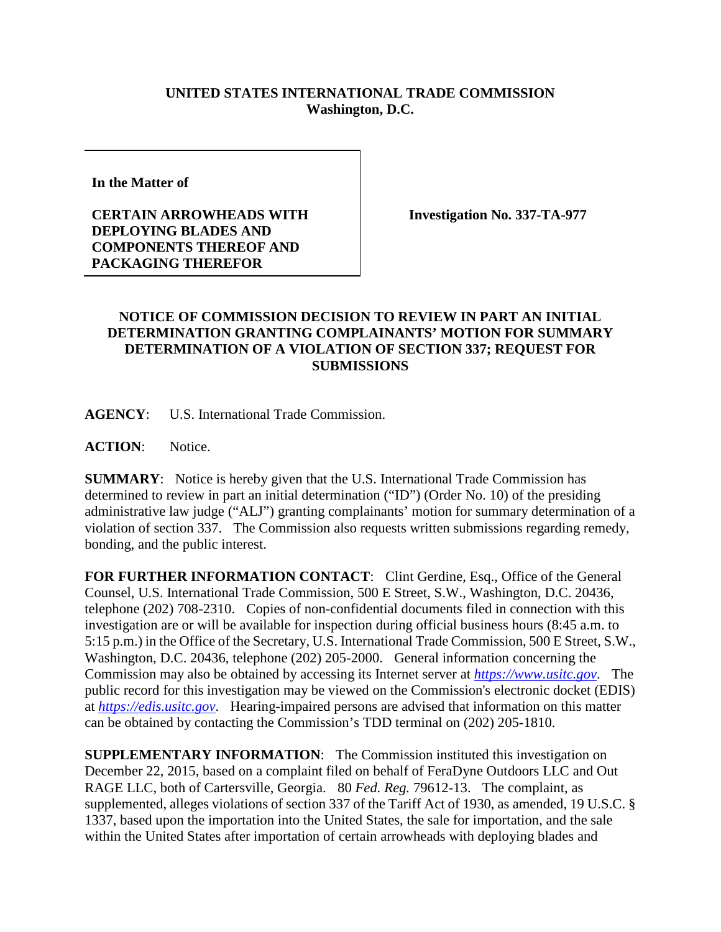## **UNITED STATES INTERNATIONAL TRADE COMMISSION Washington, D.C.**

**In the Matter of** 

## **CERTAIN ARROWHEADS WITH DEPLOYING BLADES AND COMPONENTS THEREOF AND PACKAGING THEREFOR**

**Investigation No. 337-TA-977**

## **NOTICE OF COMMISSION DECISION TO REVIEW IN PART AN INITIAL DETERMINATION GRANTING COMPLAINANTS' MOTION FOR SUMMARY DETERMINATION OF A VIOLATION OF SECTION 337; REQUEST FOR SUBMISSIONS**

**AGENCY**: U.S. International Trade Commission.

**ACTION**: Notice.

**SUMMARY**: Notice is hereby given that the U.S. International Trade Commission has determined to review in part an initial determination ("ID") (Order No. 10) of the presiding administrative law judge ("ALJ") granting complainants' motion for summary determination of a violation of section 337. The Commission also requests written submissions regarding remedy, bonding, and the public interest.

FOR FURTHER INFORMATION CONTACT: Clint Gerdine, Esq., Office of the General Counsel, U.S. International Trade Commission, 500 E Street, S.W., Washington, D.C. 20436, telephone (202) 708-2310. Copies of non-confidential documents filed in connection with this investigation are or will be available for inspection during official business hours (8:45 a.m. to 5:15 p.m.) in the Office of the Secretary, U.S. International Trade Commission, 500 E Street, S.W., Washington, D.C. 20436, telephone (202) 205-2000. General information concerning the Commission may also be obtained by accessing its Internet server at *[https://www.usitc.gov](https://www.usitc.gov/)*. The public record for this investigation may be viewed on the Commission's electronic docket (EDIS) at *[https://edis.usitc.gov](https://edis.usitc.gov/)*. Hearing-impaired persons are advised that information on this matter can be obtained by contacting the Commission's TDD terminal on (202) 205-1810.

**SUPPLEMENTARY INFORMATION**: The Commission instituted this investigation on December 22, 2015, based on a complaint filed on behalf of FeraDyne Outdoors LLC and Out RAGE LLC, both of Cartersville, Georgia. 80 *Fed. Reg.* 79612-13. The complaint, as supplemented, alleges violations of section 337 of the Tariff Act of 1930, as amended, 19 U.S.C. § 1337, based upon the importation into the United States, the sale for importation, and the sale within the United States after importation of certain arrowheads with deploying blades and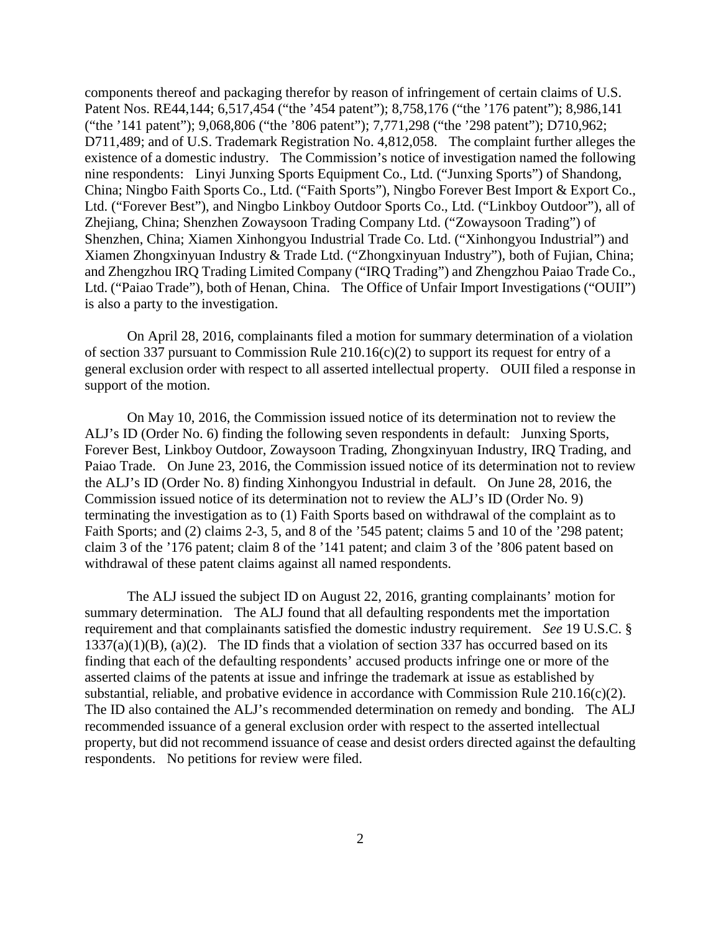components thereof and packaging therefor by reason of infringement of certain claims of U.S. Patent Nos. RE44,144; 6,517,454 ("the '454 patent"); 8,758,176 ("the '176 patent"); 8,986,141 ("the '141 patent"); 9,068,806 ("the '806 patent"); 7,771,298 ("the '298 patent"); D710,962; D711,489; and of U.S. Trademark Registration No. 4,812,058. The complaint further alleges the existence of a domestic industry. The Commission's notice of investigation named the following nine respondents: Linyi Junxing Sports Equipment Co., Ltd. ("Junxing Sports") of Shandong, China; Ningbo Faith Sports Co., Ltd. ("Faith Sports"), Ningbo Forever Best Import & Export Co., Ltd. ("Forever Best"), and Ningbo Linkboy Outdoor Sports Co., Ltd. ("Linkboy Outdoor"), all of Zhejiang, China; Shenzhen Zowaysoon Trading Company Ltd. ("Zowaysoon Trading") of Shenzhen, China; Xiamen Xinhongyou Industrial Trade Co. Ltd. ("Xinhongyou Industrial") and Xiamen Zhongxinyuan Industry & Trade Ltd. ("Zhongxinyuan Industry"), both of Fujian, China; and Zhengzhou IRQ Trading Limited Company ("IRQ Trading") and Zhengzhou Paiao Trade Co., Ltd. ("Paiao Trade"), both of Henan, China. The Office of Unfair Import Investigations ("OUII") is also a party to the investigation.

On April 28, 2016, complainants filed a motion for summary determination of a violation of section 337 pursuant to Commission Rule 210.16(c)(2) to support its request for entry of a general exclusion order with respect to all asserted intellectual property. OUII filed a response in support of the motion.

On May 10, 2016, the Commission issued notice of its determination not to review the ALJ's ID (Order No. 6) finding the following seven respondents in default: Junxing Sports, Forever Best, Linkboy Outdoor, Zowaysoon Trading, Zhongxinyuan Industry, IRQ Trading, and Paiao Trade. On June 23, 2016, the Commission issued notice of its determination not to review the ALJ's ID (Order No. 8) finding Xinhongyou Industrial in default. On June 28, 2016, the Commission issued notice of its determination not to review the ALJ's ID (Order No. 9) terminating the investigation as to (1) Faith Sports based on withdrawal of the complaint as to Faith Sports; and (2) claims 2-3, 5, and 8 of the '545 patent; claims 5 and 10 of the '298 patent; claim 3 of the '176 patent; claim 8 of the '141 patent; and claim 3 of the '806 patent based on withdrawal of these patent claims against all named respondents.

The ALJ issued the subject ID on August 22, 2016, granting complainants' motion for summary determination. The ALJ found that all defaulting respondents met the importation requirement and that complainants satisfied the domestic industry requirement. *See* 19 U.S.C. §  $1337(a)(1)(B)$ , (a)(2). The ID finds that a violation of section 337 has occurred based on its finding that each of the defaulting respondents' accused products infringe one or more of the asserted claims of the patents at issue and infringe the trademark at issue as established by substantial, reliable, and probative evidence in accordance with Commission Rule 210.16(c)(2). The ID also contained the ALJ's recommended determination on remedy and bonding. The ALJ recommended issuance of a general exclusion order with respect to the asserted intellectual property, but did not recommend issuance of cease and desist orders directed against the defaulting respondents. No petitions for review were filed.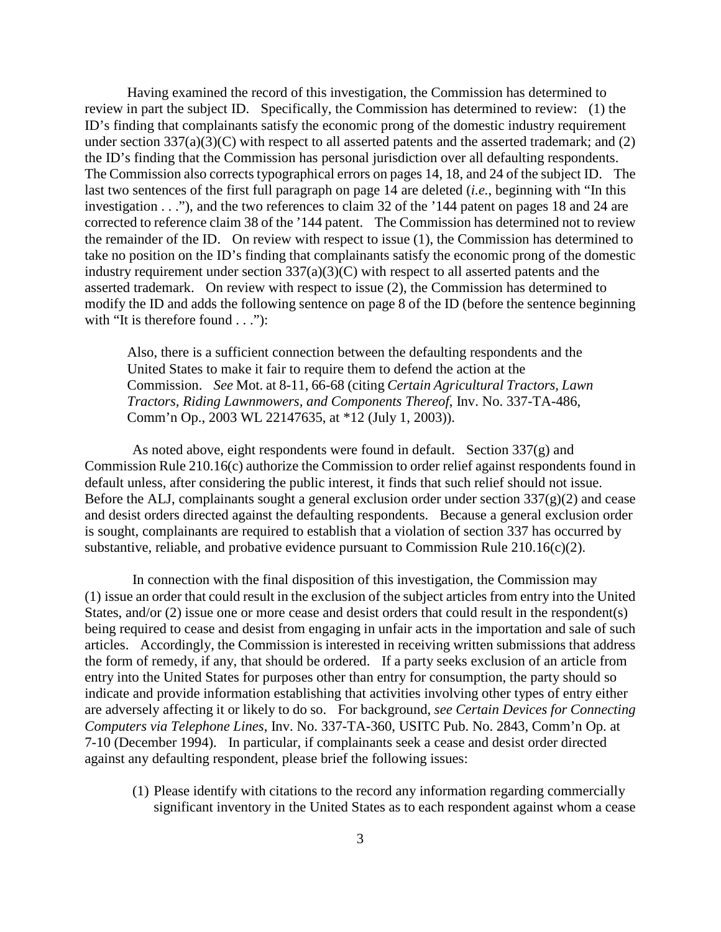Having examined the record of this investigation, the Commission has determined to review in part the subject ID. Specifically, the Commission has determined to review: (1) the ID's finding that complainants satisfy the economic prong of the domestic industry requirement under section 337(a)(3)(C) with respect to all asserted patents and the asserted trademark; and (2) the ID's finding that the Commission has personal jurisdiction over all defaulting respondents. The Commission also corrects typographical errors on pages 14, 18, and 24 of the subject ID. The last two sentences of the first full paragraph on page 14 are deleted (*i.e.*, beginning with "In this investigation . . ."), and the two references to claim 32 of the '144 patent on pages 18 and 24 are corrected to reference claim 38 of the '144 patent. The Commission has determined not to review the remainder of the ID. On review with respect to issue (1), the Commission has determined to take no position on the ID's finding that complainants satisfy the economic prong of the domestic industry requirement under section 337(a)(3)(C) with respect to all asserted patents and the asserted trademark. On review with respect to issue (2), the Commission has determined to modify the ID and adds the following sentence on page 8 of the ID (before the sentence beginning with "It is therefore found . . ."):

Also, there is a sufficient connection between the defaulting respondents and the United States to make it fair to require them to defend the action at the Commission. *See* Mot. at 8-11, 66-68 (citing *Certain Agricultural Tractors, Lawn Tractors, Riding Lawnmowers, and Components Thereof*, Inv. No. 337-TA-486, Comm'n Op., 2003 WL 22147635, at \*12 (July 1, 2003)).

As noted above, eight respondents were found in default. Section 337(g) and Commission Rule 210.16(c) authorize the Commission to order relief against respondents found in default unless, after considering the public interest, it finds that such relief should not issue. Before the ALJ, complainants sought a general exclusion order under section  $337(g)(2)$  and cease and desist orders directed against the defaulting respondents. Because a general exclusion order is sought, complainants are required to establish that a violation of section 337 has occurred by substantive, reliable, and probative evidence pursuant to Commission Rule 210.16(c)(2).

In connection with the final disposition of this investigation, the Commission may (1) issue an order that could result in the exclusion of the subject articles from entry into the United States, and/or (2) issue one or more cease and desist orders that could result in the respondent(s) being required to cease and desist from engaging in unfair acts in the importation and sale of such articles. Accordingly, the Commission is interested in receiving written submissions that address the form of remedy, if any, that should be ordered. If a party seeks exclusion of an article from entry into the United States for purposes other than entry for consumption, the party should so indicate and provide information establishing that activities involving other types of entry either are adversely affecting it or likely to do so. For background, *see Certain Devices for Connecting Computers via Telephone Lines*, Inv. No. 337-TA-360, USITC Pub. No. 2843, Comm'n Op. at 7-10 (December 1994). In particular, if complainants seek a cease and desist order directed against any defaulting respondent, please brief the following issues:

(1) Please identify with citations to the record any information regarding commercially significant inventory in the United States as to each respondent against whom a cease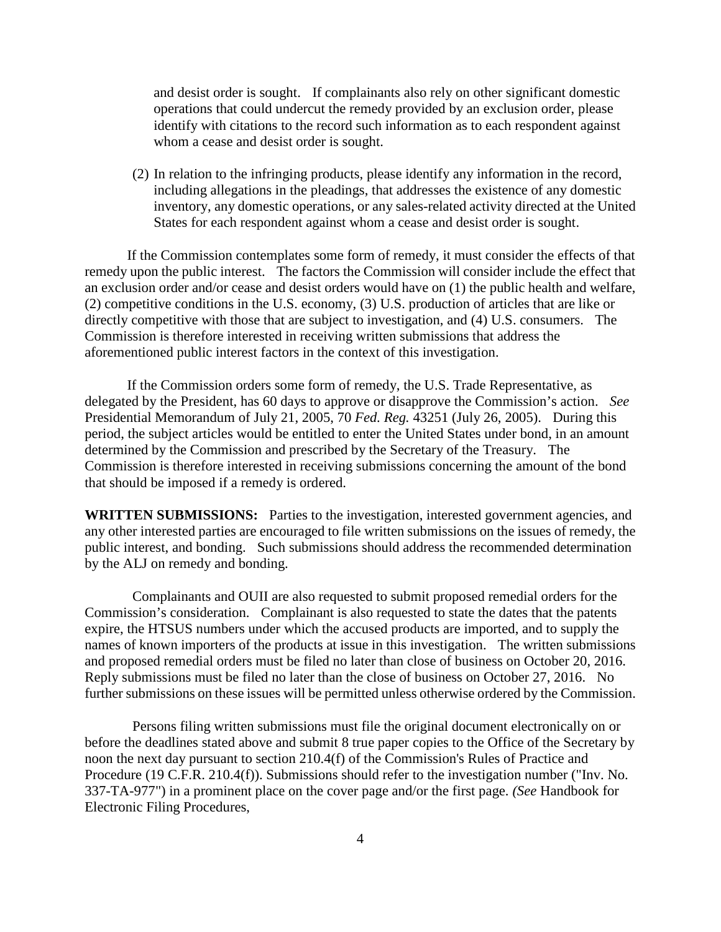and desist order is sought. If complainants also rely on other significant domestic operations that could undercut the remedy provided by an exclusion order, please identify with citations to the record such information as to each respondent against whom a cease and desist order is sought.

(2) In relation to the infringing products, please identify any information in the record, including allegations in the pleadings, that addresses the existence of any domestic inventory, any domestic operations, or any sales-related activity directed at the United States for each respondent against whom a cease and desist order is sought.

If the Commission contemplates some form of remedy, it must consider the effects of that remedy upon the public interest. The factors the Commission will consider include the effect that an exclusion order and/or cease and desist orders would have on (1) the public health and welfare, (2) competitive conditions in the U.S. economy, (3) U.S. production of articles that are like or directly competitive with those that are subject to investigation, and (4) U.S. consumers. The Commission is therefore interested in receiving written submissions that address the aforementioned public interest factors in the context of this investigation.

If the Commission orders some form of remedy, the U.S. Trade Representative, as delegated by the President, has 60 days to approve or disapprove the Commission's action. *See*  Presidential Memorandum of July 21, 2005, 70 *Fed. Reg.* 43251 (July 26, 2005). During this period, the subject articles would be entitled to enter the United States under bond, in an amount determined by the Commission and prescribed by the Secretary of the Treasury. The Commission is therefore interested in receiving submissions concerning the amount of the bond that should be imposed if a remedy is ordered.

**WRITTEN SUBMISSIONS:** Parties to the investigation, interested government agencies, and any other interested parties are encouraged to file written submissions on the issues of remedy, the public interest, and bonding. Such submissions should address the recommended determination by the ALJ on remedy and bonding.

Complainants and OUII are also requested to submit proposed remedial orders for the Commission's consideration. Complainant is also requested to state the dates that the patents expire, the HTSUS numbers under which the accused products are imported, and to supply the names of known importers of the products at issue in this investigation. The written submissions and proposed remedial orders must be filed no later than close of business on October 20, 2016. Reply submissions must be filed no later than the close of business on October 27, 2016. No further submissions on these issues will be permitted unless otherwise ordered by the Commission.

Persons filing written submissions must file the original document electronically on or before the deadlines stated above and submit 8 true paper copies to the Office of the Secretary by noon the next day pursuant to section 210.4(f) of the Commission's Rules of Practice and Procedure (19 C.F.R. 210.4(f)). Submissions should refer to the investigation number ("Inv. No. 337-TA-977") in a prominent place on the cover page and/or the first page. *(See* Handbook for Electronic Filing Procedures,